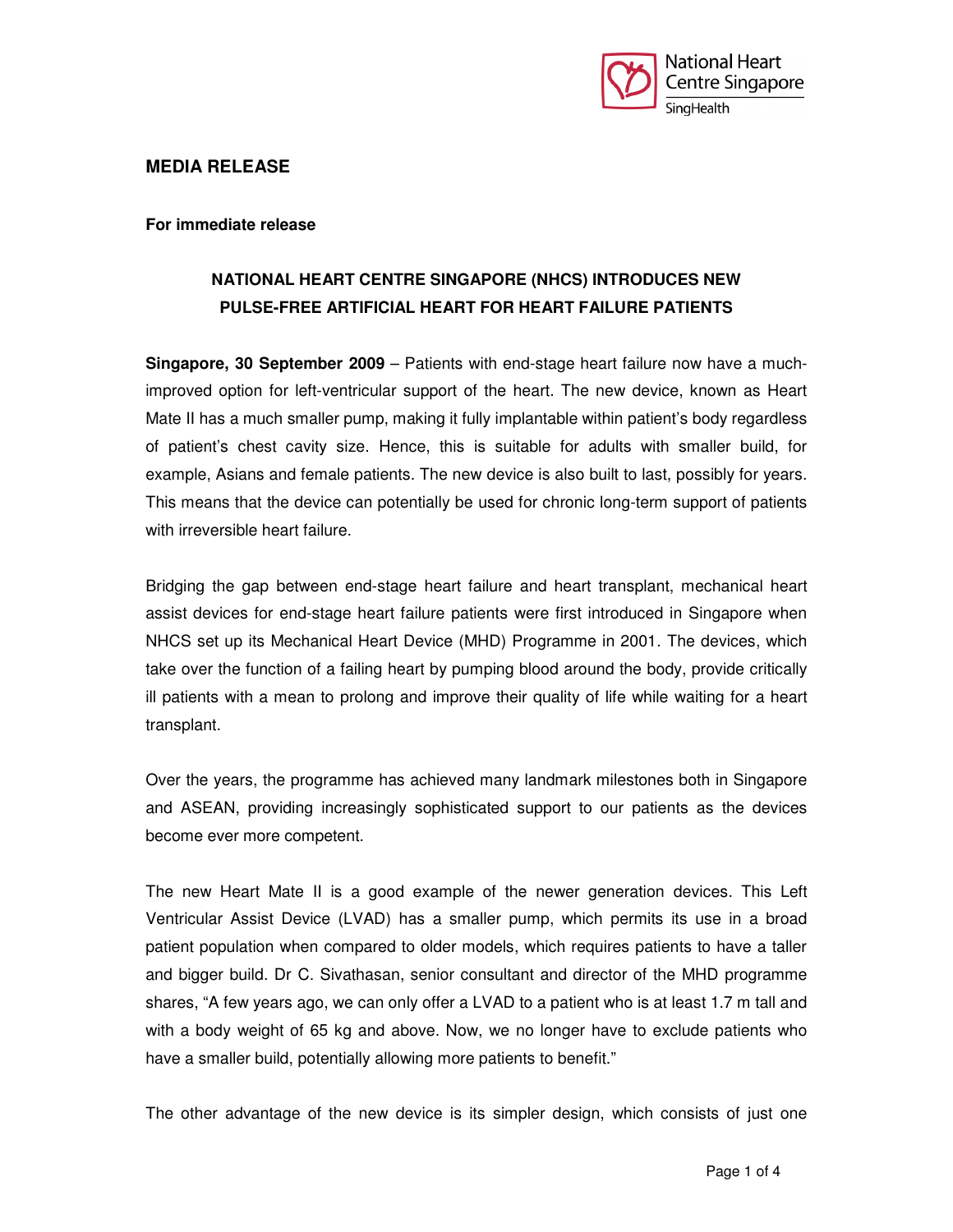

### **MEDIA RELEASE**

**For immediate release** 

# **NATIONAL HEART CENTRE SINGAPORE (NHCS) INTRODUCES NEW PULSE-FREE ARTIFICIAL HEART FOR HEART FAILURE PATIENTS**

**Singapore, 30 September 2009** – Patients with end-stage heart failure now have a muchimproved option for left-ventricular support of the heart. The new device, known as Heart Mate II has a much smaller pump, making it fully implantable within patient's body regardless of patient's chest cavity size. Hence, this is suitable for adults with smaller build, for example, Asians and female patients. The new device is also built to last, possibly for years. This means that the device can potentially be used for chronic long-term support of patients with irreversible heart failure.

Bridging the gap between end-stage heart failure and heart transplant, mechanical heart assist devices for end-stage heart failure patients were first introduced in Singapore when NHCS set up its Mechanical Heart Device (MHD) Programme in 2001. The devices, which take over the function of a failing heart by pumping blood around the body, provide critically ill patients with a mean to prolong and improve their quality of life while waiting for a heart transplant.

Over the years, the programme has achieved many landmark milestones both in Singapore and ASEAN, providing increasingly sophisticated support to our patients as the devices become ever more competent.

The new Heart Mate II is a good example of the newer generation devices. This Left Ventricular Assist Device (LVAD) has a smaller pump, which permits its use in a broad patient population when compared to older models, which requires patients to have a taller and bigger build. Dr C. Sivathasan, senior consultant and director of the MHD programme shares, "A few years ago, we can only offer a LVAD to a patient who is at least 1.7 m tall and with a body weight of 65 kg and above. Now, we no longer have to exclude patients who have a smaller build, potentially allowing more patients to benefit."

The other advantage of the new device is its simpler design, which consists of just one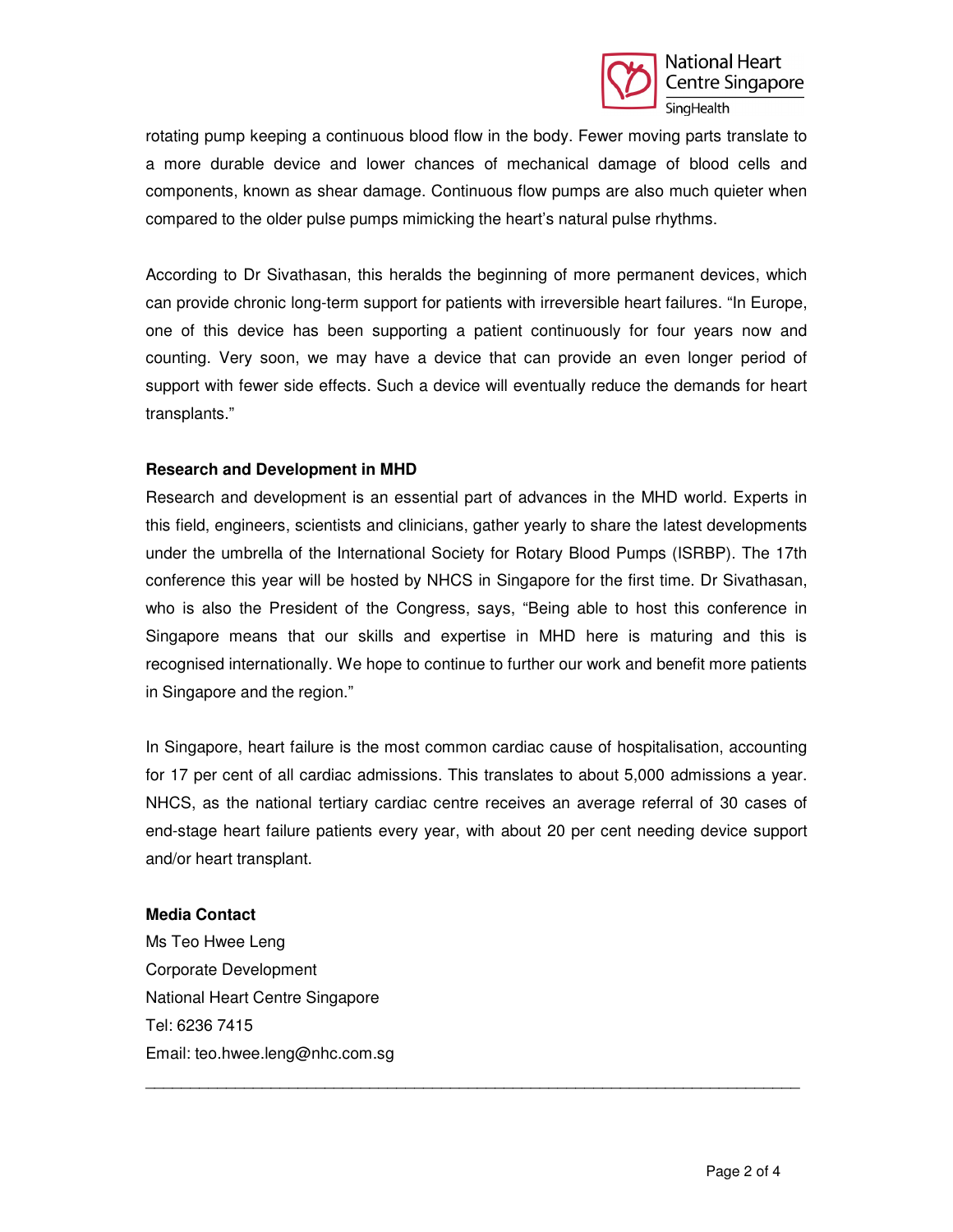

rotating pump keeping a continuous blood flow in the body. Fewer moving parts translate to a more durable device and lower chances of mechanical damage of blood cells and components, known as shear damage. Continuous flow pumps are also much quieter when compared to the older pulse pumps mimicking the heart's natural pulse rhythms.

According to Dr Sivathasan, this heralds the beginning of more permanent devices, which can provide chronic long-term support for patients with irreversible heart failures. "In Europe, one of this device has been supporting a patient continuously for four years now and counting. Very soon, we may have a device that can provide an even longer period of support with fewer side effects. Such a device will eventually reduce the demands for heart transplants."

#### **Research and Development in MHD**

Research and development is an essential part of advances in the MHD world. Experts in this field, engineers, scientists and clinicians, gather yearly to share the latest developments under the umbrella of the International Society for Rotary Blood Pumps (ISRBP). The 17th conference this year will be hosted by NHCS in Singapore for the first time. Dr Sivathasan, who is also the President of the Congress, says, "Being able to host this conference in Singapore means that our skills and expertise in MHD here is maturing and this is recognised internationally. We hope to continue to further our work and benefit more patients in Singapore and the region."

In Singapore, heart failure is the most common cardiac cause of hospitalisation, accounting for 17 per cent of all cardiac admissions. This translates to about 5,000 admissions a year. NHCS, as the national tertiary cardiac centre receives an average referral of 30 cases of end-stage heart failure patients every year, with about 20 per cent needing device support and/or heart transplant.

\_\_\_\_\_\_\_\_\_\_\_\_\_\_\_\_\_\_\_\_\_\_\_\_\_\_\_\_\_\_\_\_\_\_\_\_\_\_\_\_\_\_\_\_\_\_\_\_\_\_\_\_\_\_\_\_\_\_\_\_\_\_\_\_\_\_\_\_\_\_\_\_\_

#### **Media Contact**

Ms Teo Hwee Leng Corporate Development National Heart Centre Singapore Tel: 6236 7415 Email: teo.hwee.leng@nhc.com.sg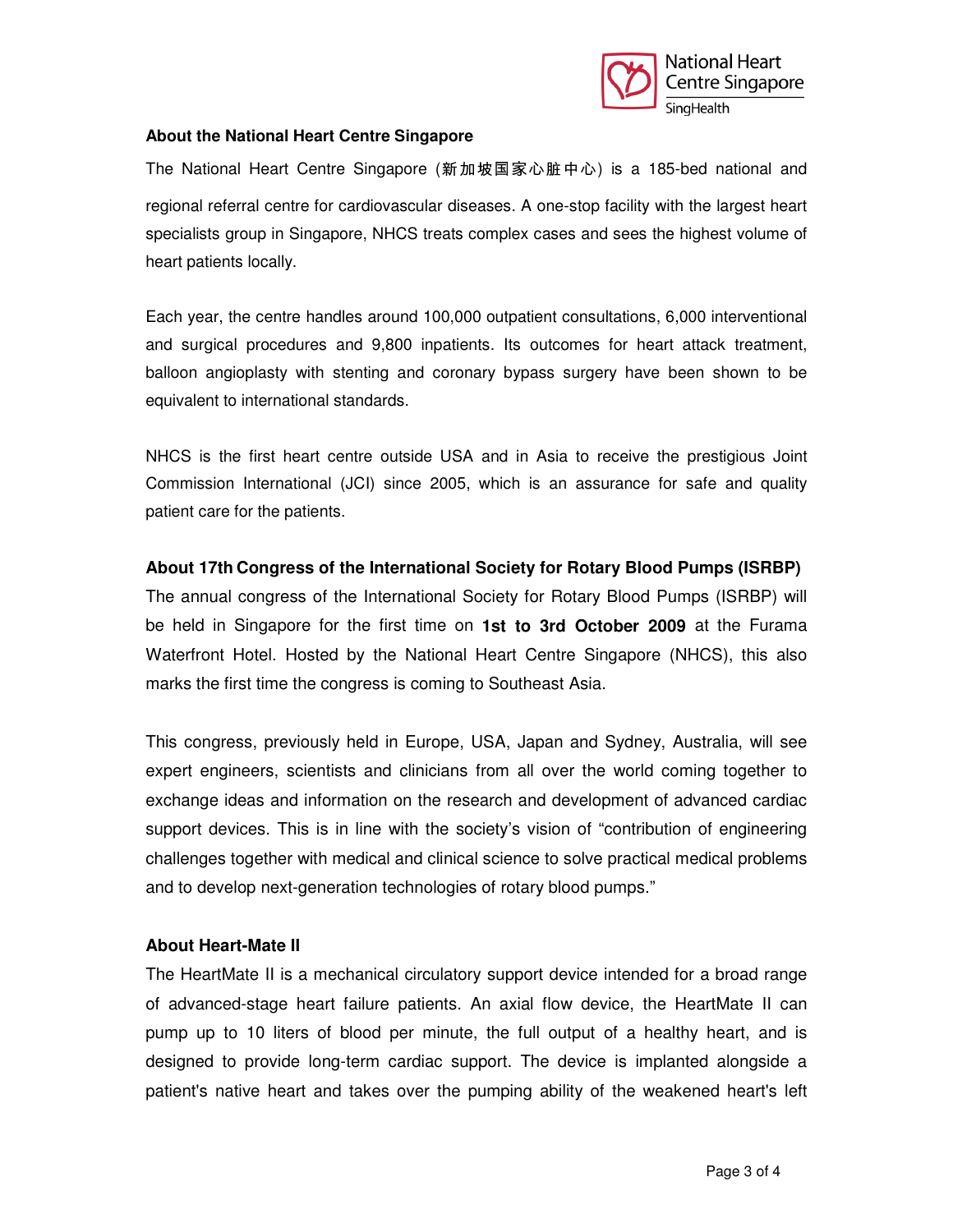

### **About the National Heart Centre Singapore**

The National Heart Centre Singapore (新加坡国家心脏中心) is a 185-bed national and regional referral centre for cardiovascular diseases. A one-stop facility with the largest heart specialists group in Singapore, NHCS treats complex cases and sees the highest volume of heart patients locally.

Each year, the centre handles around 100,000 outpatient consultations, 6,000 interventional and surgical procedures and 9,800 inpatients. Its outcomes for heart attack treatment, balloon angioplasty with stenting and coronary bypass surgery have been shown to be equivalent to international standards.

NHCS is the first heart centre outside USA and in Asia to receive the prestigious Joint Commission International (JCI) since 2005, which is an assurance for safe and quality patient care for the patients.

## **About 17th Congress of the International Society for Rotary Blood Pumps (ISRBP)**

The annual congress of the International Society for Rotary Blood Pumps (ISRBP) will be held in Singapore for the first time on **1st to 3rd October 2009** at the Furama Waterfront Hotel. Hosted by the National Heart Centre Singapore (NHCS), this also marks the first time the congress is coming to Southeast Asia.

This congress, previously held in Europe, USA, Japan and Sydney, Australia, will see expert engineers, scientists and clinicians from all over the world coming together to exchange ideas and information on the research and development of advanced cardiac support devices. This is in line with the society's vision of "contribution of engineering challenges together with medical and clinical science to solve practical medical problems and to develop next-generation technologies of rotary blood pumps."

#### **About Heart-Mate II**

The HeartMate II is a mechanical circulatory support device intended for a broad range of advanced-stage heart failure patients. An axial flow device, the HeartMate II can pump up to 10 liters of blood per minute, the full output of a healthy heart, and is designed to provide long-term cardiac support. The device is implanted alongside a patient's native heart and takes over the pumping ability of the weakened heart's left